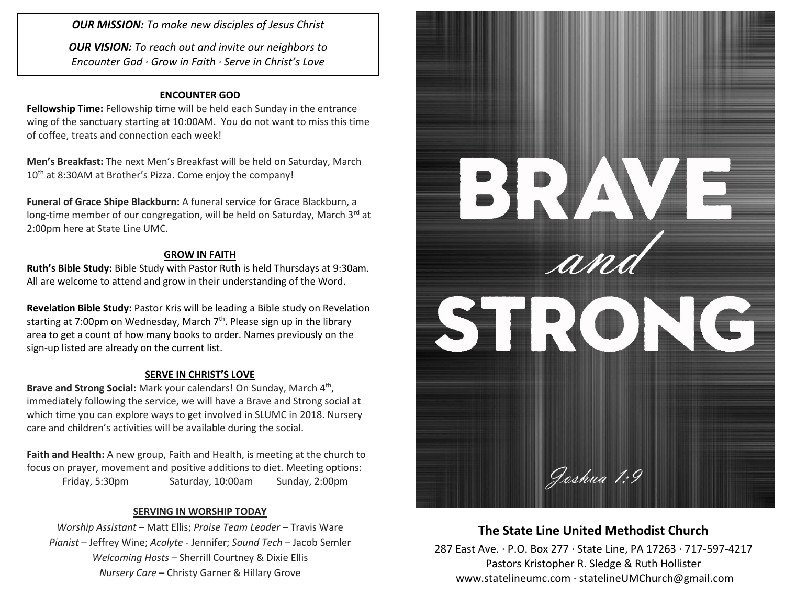*OUR MISSION: To make new disciples of Jesus Christ*

*OUR VISION: To reach out and invite our neighbors to Encounter God · Grow in Faith · Serve in Christ's Love*

#### **ENCOUNTER GOD**

**Fellowship Time:** Fellowship time will be held each Sunday in the entrance wing of the sanctuary starting at 10:00AM. You do not want to miss this time of coffee, treats and connection each week!

**Men's Breakfast:** The next Men's Breakfast will be held on Saturday, March 10<sup>th</sup> at 8:30AM at Brother's Pizza. Come enjoy the company!

**Funeral of Grace Shipe Blackburn:** A funeral service for Grace Blackburn, a long-time member of our congregation, will be held on Saturday, March 3rd at 2:00pm here at State Line UMC.

### **GROW IN FAITH**

**Ruth's Bible Study:** Bible Study with Pastor Ruth is held Thursdays at 9:30am. All are welcome to attend and grow in their understanding of the Word.

**Revelation Bible Study:** Pastor Kris will be leading a Bible study on Revelation starting at 7:00pm on Wednesday, March 7<sup>th</sup>. Please sign up in the library area to get a count of how many books to order. Names previously on the sign-up listed are already on the current list.

### **SERVE IN CHRIST'S LOVE**

Brave and Strong Social: Mark your calendars! On Sunday, March 4<sup>th</sup>, immediately following the service, we will have a Brave and Strong social at which time you can explore ways to get involved in SLUMC in 2018. Nursery care and children's activities will be available during the social.

**Faith and Health:** A new group, Faith and Health, is meeting at the church to focus on prayer, movement and positive additions to diet. Meeting options: Friday, 5:30pm Saturday, 10:00am Sunday, 2:00pm

### **SERVING IN WORSHIP TODAY**

*Worship Assistant* – Matt Ellis; *Praise Team Leader* – Travis Ware *Pianist* – Jeffrey Wine; *Acolyte* - Jennifer; *Sound Tech* – Jacob Semler *Welcoming Hosts* – Sherrill Courtney & Dixie Ellis *Nursery Care* – Christy Garner & Hillary Grove



# **The State Line United Methodist Church**

287 East Ave. · P.O. Box 277 · State Line, PA 17263 · 717-597-4217 Pastors Kristopher R. Sledge & Ruth Hollister [www.statelineumc.com](http://www.statelineumc.com/) · statelineUMChurch@gmail.com